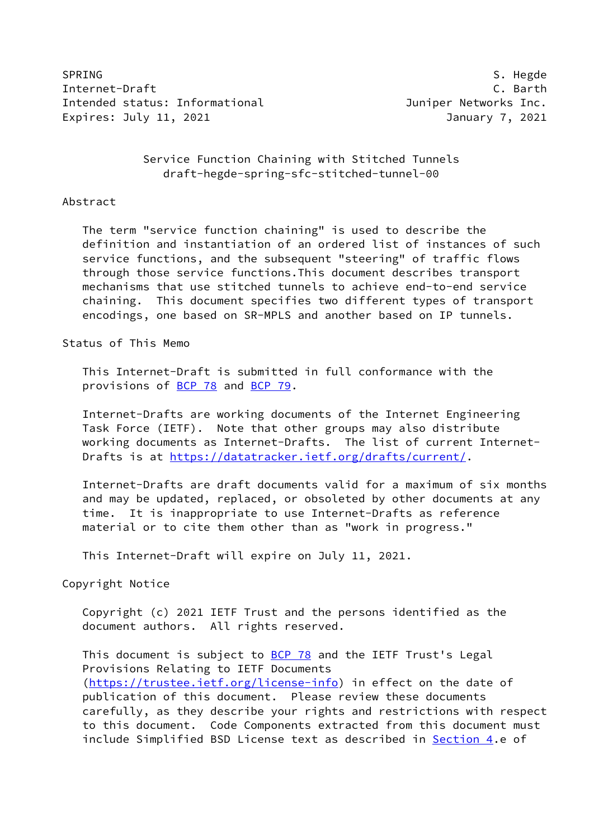SPRING SPRING SALES SALES AND SALES SERVICES SALES AND S. Hegde Internet-Draft C. Barth Intended status: Informational **Intended Status: Informational** Juniper Networks Inc. Expires: July 11, 2021 **Internal Contract Contract Contract Contract Contract Contract Contract Contract Contract** 

### Service Function Chaining with Stitched Tunnels draft-hegde-spring-sfc-stitched-tunnel-00

#### Abstract

 The term "service function chaining" is used to describe the definition and instantiation of an ordered list of instances of such service functions, and the subsequent "steering" of traffic flows through those service functions.This document describes transport mechanisms that use stitched tunnels to achieve end-to-end service chaining. This document specifies two different types of transport encodings, one based on SR-MPLS and another based on IP tunnels.

Status of This Memo

 This Internet-Draft is submitted in full conformance with the provisions of [BCP 78](https://datatracker.ietf.org/doc/pdf/bcp78) and [BCP 79](https://datatracker.ietf.org/doc/pdf/bcp79).

 Internet-Drafts are working documents of the Internet Engineering Task Force (IETF). Note that other groups may also distribute working documents as Internet-Drafts. The list of current Internet- Drafts is at<https://datatracker.ietf.org/drafts/current/>.

 Internet-Drafts are draft documents valid for a maximum of six months and may be updated, replaced, or obsoleted by other documents at any time. It is inappropriate to use Internet-Drafts as reference material or to cite them other than as "work in progress."

This Internet-Draft will expire on July 11, 2021.

Copyright Notice

 Copyright (c) 2021 IETF Trust and the persons identified as the document authors. All rights reserved.

This document is subject to **[BCP 78](https://datatracker.ietf.org/doc/pdf/bcp78)** and the IETF Trust's Legal Provisions Relating to IETF Documents [\(https://trustee.ietf.org/license-info](https://trustee.ietf.org/license-info)) in effect on the date of publication of this document. Please review these documents carefully, as they describe your rights and restrictions with respect to this document. Code Components extracted from this document must include Simplified BSD License text as described in [Section 4.](#page-5-0)e of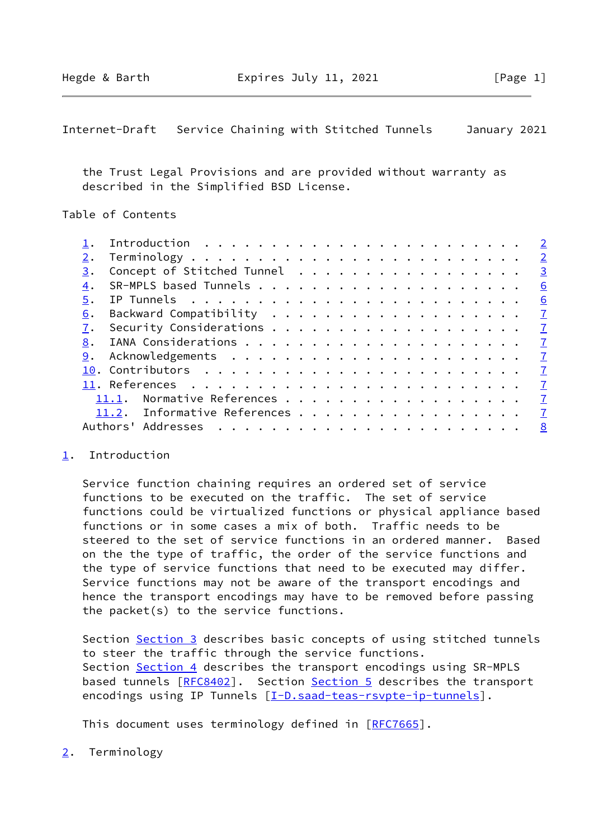<span id="page-1-1"></span>Internet-Draft Service Chaining with Stitched Tunnels January 2021

 the Trust Legal Provisions and are provided without warranty as described in the Simplified BSD License.

Table of Contents

|    |                                | $\overline{\phantom{0}}^2$ |
|----|--------------------------------|----------------------------|
| 2. |                                | $\overline{2}$             |
| 3. | Concept of Stitched Tunnel     | $\overline{\mathbf{3}}$    |
| 4. |                                | 6                          |
|    |                                | 6                          |
| 6. |                                |                            |
| 7. |                                |                            |
| 8. |                                | $\sqrt{7}$                 |
| 9. |                                |                            |
|    |                                |                            |
|    |                                | $\mathbf{Z}$               |
|    | 11.1. Normative References     | $\mathbf{Z}$               |
|    | 11.2. Informative References 7 |                            |
|    | Authors' Addresses             | 8                          |
|    |                                |                            |

#### <span id="page-1-0"></span>[1](#page-1-0). Introduction

 Service function chaining requires an ordered set of service functions to be executed on the traffic. The set of service functions could be virtualized functions or physical appliance based functions or in some cases a mix of both. Traffic needs to be steered to the set of service functions in an ordered manner. Based on the the type of traffic, the order of the service functions and the type of service functions that need to be executed may differ. Service functions may not be aware of the transport encodings and hence the transport encodings may have to be removed before passing the packet(s) to the service functions.

Section [Section 3](#page-2-0) describes basic concepts of using stitched tunnels to steer the traffic through the service functions. Section [Section 4](#page-5-0) describes the transport encodings using SR-MPLS based tunnels [[RFC8402](https://datatracker.ietf.org/doc/pdf/rfc8402)]. Section [Section 5](#page-6-0) describes the transport encodings using IP Tunnels [[I-D.saad-teas-rsvpte-ip-tunnels\]](#page-6-4).

This document uses terminology defined in [[RFC7665](https://datatracker.ietf.org/doc/pdf/rfc7665)].

<span id="page-1-2"></span>[2](#page-1-2). Terminology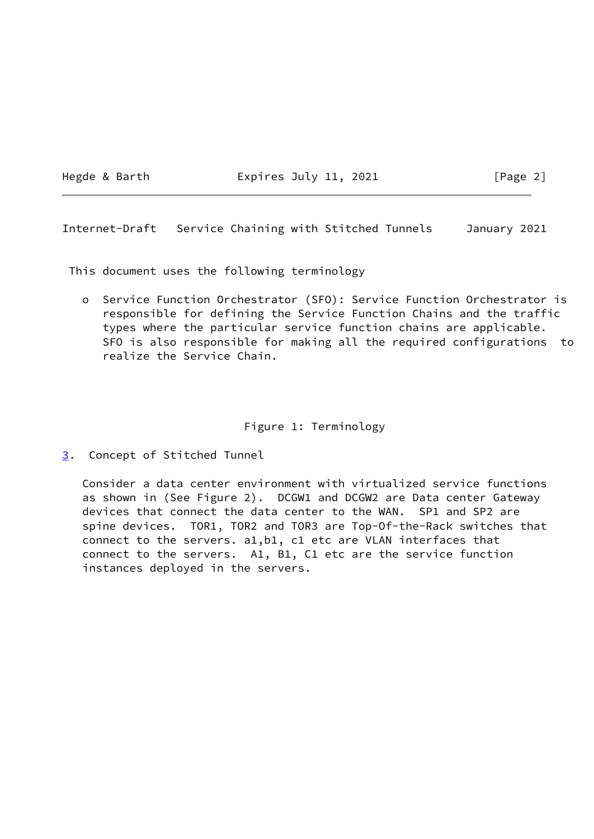Hegde & Barth **Expires July 11, 2021** [Page 2]

<span id="page-2-1"></span>Internet-Draft Service Chaining with Stitched Tunnels January 2021

This document uses the following terminology

 o Service Function Orchestrator (SFO): Service Function Orchestrator is responsible for defining the Service Function Chains and the traffic types where the particular service function chains are applicable. SFO is also responsible for making all the required configurations to realize the Service Chain.

## Figure 1: Terminology

<span id="page-2-0"></span>[3](#page-2-0). Concept of Stitched Tunnel

 Consider a data center environment with virtualized service functions as shown in (See Figure 2). DCGW1 and DCGW2 are Data center Gateway devices that connect the data center to the WAN. SP1 and SP2 are spine devices. TOR1, TOR2 and TOR3 are Top-Of-the-Rack switches that connect to the servers. a1,b1, c1 etc are VLAN interfaces that connect to the servers. A1, B1, C1 etc are the service function instances deployed in the servers.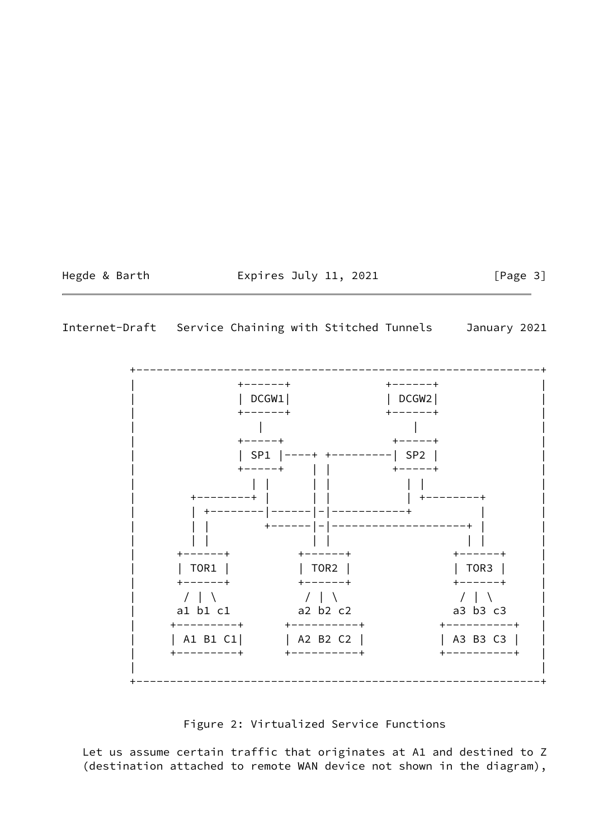Hegde & Barth **Expires July 11, 2021** [Page 3]

## Internet-Draft Service Chaining with Stitched Tunnels January 2021

 +------------------------------------------------------------+ | +------+ +------+ | | | DCGW1| | DCGW2| | | +------+ +------+ | | | | | | +-----+ +-----+ | | | SP1 |----+ +---------| SP2 | | | +-----+ | | +-----+ | | | | | | | | | | +--------+ | | | | +--------+ | | | +--------|------|-|-----------+ | | +------|-|--------------------+ | | | | | | | | | | +------+ +------+ +------+ | | | TOR1 | | TOR2 | | TOR3 | | | +------+ +------+ +------+ |  $\mathcal{N} \parallel \mathcal{N}$  / | \  $\mathcal{N} \parallel \mathcal{N}$  / | \  $\mathcal{N} \parallel \mathcal{N}$  $\begin{array}{ccc} 7 & 1 & 1 \\ 1 & 1 & 1 \\ 2 & 1 & 1 \end{array}$  a2 b2 c2 a3 b3 c3 | +---------+ +----------+ +----------+ | | A1 B1 C1| | A2 B2 C2 | | A3 B3 C3 | | +---------+ +----------+ +----------+ | | | +------------------------------------------------------------+

# Figure 2: Virtualized Service Functions

 Let us assume certain traffic that originates at A1 and destined to Z (destination attached to remote WAN device not shown in the diagram),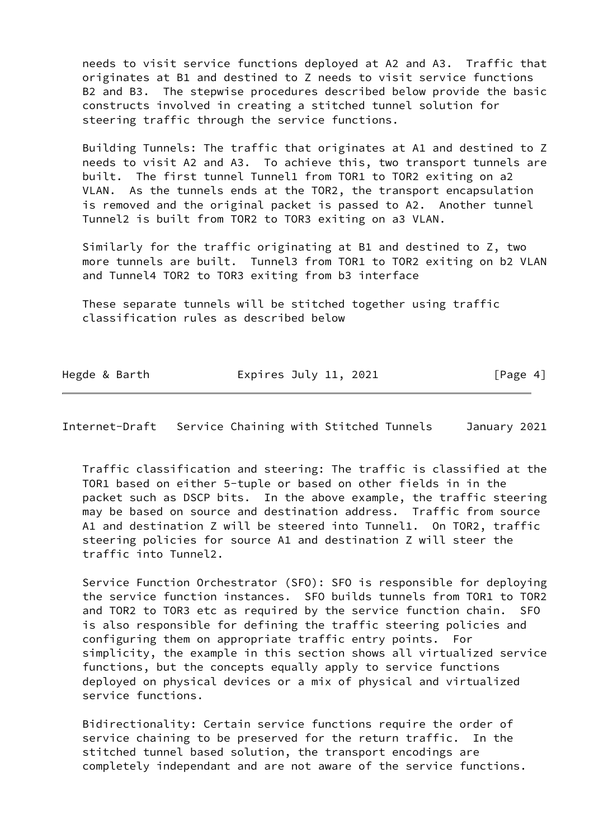needs to visit service functions deployed at A2 and A3. Traffic that originates at B1 and destined to Z needs to visit service functions B2 and B3. The stepwise procedures described below provide the basic constructs involved in creating a stitched tunnel solution for steering traffic through the service functions.

 Building Tunnels: The traffic that originates at A1 and destined to Z needs to visit A2 and A3. To achieve this, two transport tunnels are built. The first tunnel Tunnel1 from TOR1 to TOR2 exiting on a2 VLAN. As the tunnels ends at the TOR2, the transport encapsulation is removed and the original packet is passed to A2. Another tunnel Tunnel2 is built from TOR2 to TOR3 exiting on a3 VLAN.

 Similarly for the traffic originating at B1 and destined to Z, two more tunnels are built. Tunnel3 from TOR1 to TOR2 exiting on b2 VLAN and Tunnel4 TOR2 to TOR3 exiting from b3 interface

 These separate tunnels will be stitched together using traffic classification rules as described below

| Hegde & Barth | Expires July 11, 2021 | [Page 4] |
|---------------|-----------------------|----------|

Internet-Draft Service Chaining with Stitched Tunnels January 2021

 Traffic classification and steering: The traffic is classified at the TOR1 based on either 5-tuple or based on other fields in in the packet such as DSCP bits. In the above example, the traffic steering may be based on source and destination address. Traffic from source A1 and destination Z will be steered into Tunnel1. On TOR2, traffic steering policies for source A1 and destination Z will steer the traffic into Tunnel2.

 Service Function Orchestrator (SFO): SFO is responsible for deploying the service function instances. SFO builds tunnels from TOR1 to TOR2 and TOR2 to TOR3 etc as required by the service function chain. SFO is also responsible for defining the traffic steering policies and configuring them on appropriate traffic entry points. For simplicity, the example in this section shows all virtualized service functions, but the concepts equally apply to service functions deployed on physical devices or a mix of physical and virtualized service functions.

 Bidirectionality: Certain service functions require the order of service chaining to be preserved for the return traffic. In the stitched tunnel based solution, the transport encodings are completely independant and are not aware of the service functions.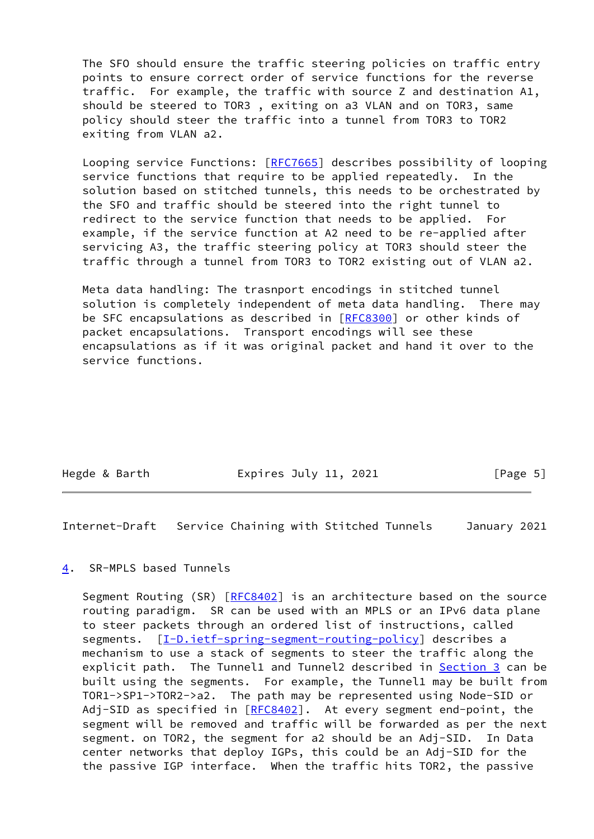The SFO should ensure the traffic steering policies on traffic entry points to ensure correct order of service functions for the reverse traffic. For example, the traffic with source Z and destination A1, should be steered to TOR3 , exiting on a3 VLAN and on TOR3, same policy should steer the traffic into a tunnel from TOR3 to TOR2 exiting from VLAN a2.

Looping service Functions: [[RFC7665\]](https://datatracker.ietf.org/doc/pdf/rfc7665) describes possibility of looping service functions that require to be applied repeatedly. In the solution based on stitched tunnels, this needs to be orchestrated by the SFO and traffic should be steered into the right tunnel to redirect to the service function that needs to be applied. For example, if the service function at A2 need to be re-applied after servicing A3, the traffic steering policy at TOR3 should steer the traffic through a tunnel from TOR3 to TOR2 existing out of VLAN a2.

 Meta data handling: The trasnport encodings in stitched tunnel solution is completely independent of meta data handling. There may be SFC encapsulations as described in [[RFC8300](https://datatracker.ietf.org/doc/pdf/rfc8300)] or other kinds of packet encapsulations. Transport encodings will see these encapsulations as if it was original packet and hand it over to the service functions.

Hegde & Barth **Expires July 11, 2021** [Page 5]

<span id="page-5-1"></span>Internet-Draft Service Chaining with Stitched Tunnels January 2021

### <span id="page-5-0"></span>[4](#page-5-0). SR-MPLS based Tunnels

Segment Routing (SR) [\[RFC8402](https://datatracker.ietf.org/doc/pdf/rfc8402)] is an architecture based on the source routing paradigm. SR can be used with an MPLS or an IPv6 data plane to steer packets through an ordered list of instructions, called segments. [[I-D.ietf-spring-segment-routing-policy](#page-7-7)] describes a mechanism to use a stack of segments to steer the traffic along the explicit path. The Tunnel1 and Tunnel2 described in [Section 3](#page-2-0) can be built using the segments. For example, the Tunnel1 may be built from TOR1->SP1->TOR2->a2. The path may be represented using Node-SID or Adj-SID as specified in [\[RFC8402](https://datatracker.ietf.org/doc/pdf/rfc8402)]. At every segment end-point, the segment will be removed and traffic will be forwarded as per the next segment. on TOR2, the segment for a2 should be an Adj-SID. In Data center networks that deploy IGPs, this could be an Adj-SID for the the passive IGP interface. When the traffic hits TOR2, the passive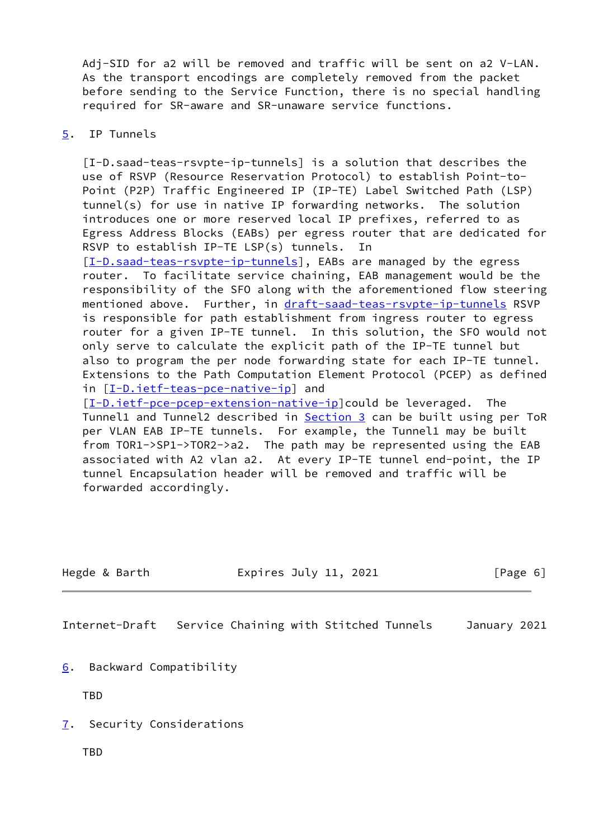Adj-SID for a2 will be removed and traffic will be sent on a2 V-LAN. As the transport encodings are completely removed from the packet before sending to the Service Function, there is no special handling required for SR-aware and SR-unaware service functions.

#### <span id="page-6-0"></span>[5](#page-6-0). IP Tunnels

<span id="page-6-4"></span> [I-D.saad-teas-rsvpte-ip-tunnels] is a solution that describes the use of RSVP (Resource Reservation Protocol) to establish Point-to- Point (P2P) Traffic Engineered IP (IP-TE) Label Switched Path (LSP) tunnel(s) for use in native IP forwarding networks. The solution introduces one or more reserved local IP prefixes, referred to as Egress Address Blocks (EABs) per egress router that are dedicated for RSVP to establish IP-TE LSP(s) tunnels. In [\[I-D.saad-teas-rsvpte-ip-tunnels](#page-6-4)], EABs are managed by the egress router. To facilitate service chaining, EAB management would be the responsibility of the SFO along with the aforementioned flow steering mentioned above. Further, in [draft-saad-teas-rsvpte-ip-tunnels](https://datatracker.ietf.org/doc/pdf/draft-saad-teas-rsvpte-ip-tunnels) RSVP is responsible for path establishment from ingress router to egress

 router for a given IP-TE tunnel. In this solution, the SFO would not only serve to calculate the explicit path of the IP-TE tunnel but also to program the per node forwarding state for each IP-TE tunnel. Extensions to the Path Computation Element Protocol (PCEP) as defined in [[I-D.ietf-teas-pce-native-ip\]](#page-7-8) and

[\[I-D.ietf-pce-pcep-extension-native-ip](#page-7-9)]could be leveraged. The Tunnel1 and Tunnel2 described in [Section 3](#page-2-0) can be built using per ToR per VLAN EAB IP-TE tunnels. For example, the Tunnel1 may be built from TOR1->SP1->TOR2->a2. The path may be represented using the EAB associated with A2 vlan a2. At every IP-TE tunnel end-point, the IP tunnel Encapsulation header will be removed and traffic will be forwarded accordingly.

<span id="page-6-2"></span>

| Hegde & Barth  | Expires July 11, 2021                  | $\lceil \text{Page } 6 \rceil$ |
|----------------|----------------------------------------|--------------------------------|
|                |                                        |                                |
| Internet-Draft | Service Chaining with Stitched Tunnels | January 2021                   |

<span id="page-6-1"></span>[6](#page-6-1). Backward Compatibility

TBD

- <span id="page-6-3"></span>[7](#page-6-3). Security Considerations
	- TBD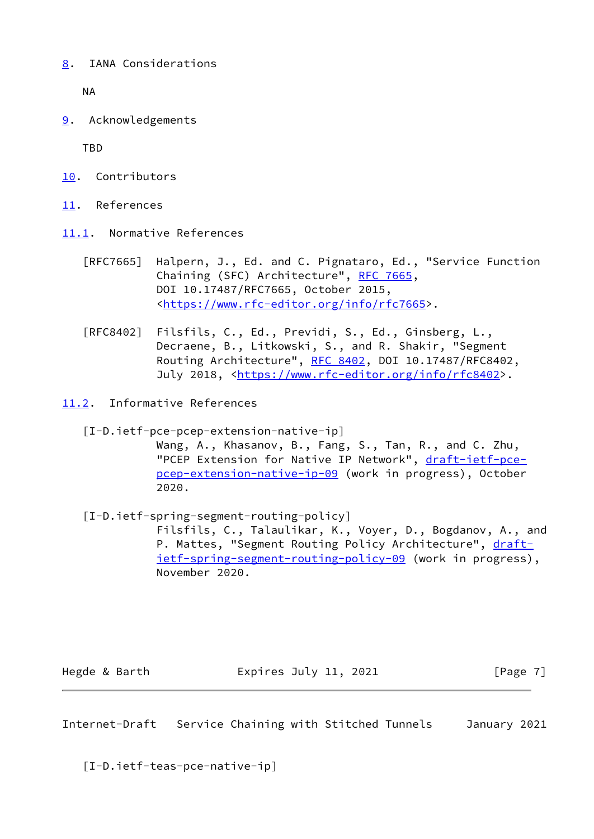<span id="page-7-0"></span>[8](#page-7-0). IANA Considerations

NA

<span id="page-7-1"></span>[9](#page-7-1). Acknowledgements

**TRD** 

- <span id="page-7-2"></span>[10.](#page-7-2) Contributors
- <span id="page-7-3"></span>[11.](#page-7-3) References
- <span id="page-7-4"></span>[11.1](#page-7-4). Normative References
	- [RFC7665] Halpern, J., Ed. and C. Pignataro, Ed., "Service Function Chaining (SFC) Architecture", [RFC 7665](https://datatracker.ietf.org/doc/pdf/rfc7665), DOI 10.17487/RFC7665, October 2015, <[https://www.rfc-editor.org/info/rfc7665>](https://www.rfc-editor.org/info/rfc7665).
	- [RFC8402] Filsfils, C., Ed., Previdi, S., Ed., Ginsberg, L., Decraene, B., Litkowski, S., and R. Shakir, "Segment Routing Architecture", [RFC 8402](https://datatracker.ietf.org/doc/pdf/rfc8402), DOI 10.17487/RFC8402, July 2018, <<https://www.rfc-editor.org/info/rfc8402>>.
- <span id="page-7-9"></span><span id="page-7-5"></span>[11.2](#page-7-5). Informative References
	- [I-D.ietf-pce-pcep-extension-native-ip]

 Wang, A., Khasanov, B., Fang, S., Tan, R., and C. Zhu, "PCEP Extension for Native IP Network", [draft-ietf-pce](https://datatracker.ietf.org/doc/pdf/draft-ietf-pce-pcep-extension-native-ip-09) [pcep-extension-native-ip-09](https://datatracker.ietf.org/doc/pdf/draft-ietf-pce-pcep-extension-native-ip-09) (work in progress), October 2020.

<span id="page-7-7"></span> [I-D.ietf-spring-segment-routing-policy] Filsfils, C., Talaulikar, K., Voyer, D., Bogdanov, A., and P. Mattes, "Segment Routing Policy Architecture", [draft](https://datatracker.ietf.org/doc/pdf/draft-ietf-spring-segment-routing-policy-09) [ietf-spring-segment-routing-policy-09](https://datatracker.ietf.org/doc/pdf/draft-ietf-spring-segment-routing-policy-09) (work in progress), November 2020.

Hegde & Barth **Expires July 11, 2021** [Page 7]

<span id="page-7-6"></span>Internet-Draft Service Chaining with Stitched Tunnels January 2021

<span id="page-7-8"></span>[I-D.ietf-teas-pce-native-ip]